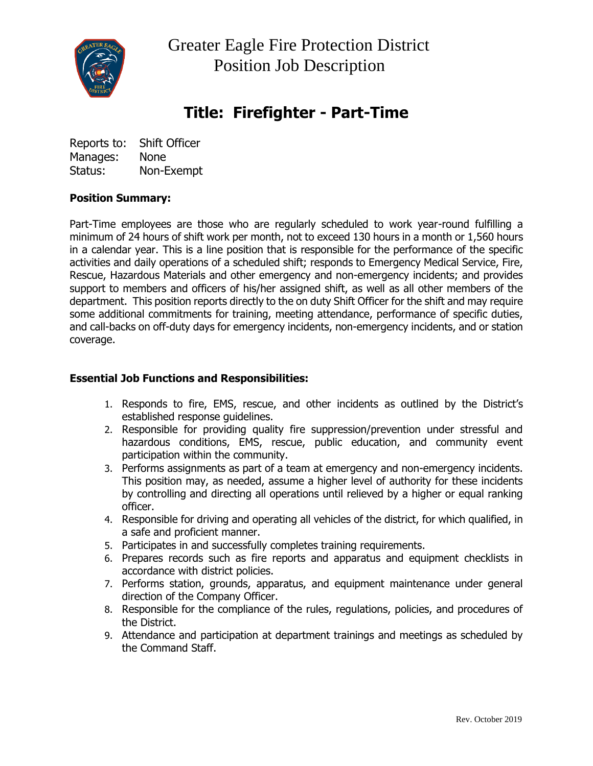

 Greater Eagle Fire Protection District Position Job Description

# **Title: Firefighter - Part-Time**

Reports to: Shift Officer Manages: None Status: Non-Exempt

### **Position Summary:**

Part-Time employees are those who are regularly scheduled to work year-round fulfilling a minimum of 24 hours of shift work per month, not to exceed 130 hours in a month or 1,560 hours in a calendar year. This is a line position that is responsible for the performance of the specific activities and daily operations of a scheduled shift; responds to Emergency Medical Service, Fire, Rescue, Hazardous Materials and other emergency and non-emergency incidents; and provides support to members and officers of his/her assigned shift, as well as all other members of the department. This position reports directly to the on duty Shift Officer for the shift and may require some additional commitments for training, meeting attendance, performance of specific duties, and call-backs on off-duty days for emergency incidents, non-emergency incidents, and or station coverage.

### **Essential Job Functions and Responsibilities:**

- 1. Responds to fire, EMS, rescue, and other incidents as outlined by the District's established response guidelines.
- 2. Responsible for providing quality fire suppression/prevention under stressful and hazardous conditions, EMS, rescue, public education, and community event participation within the community.
- 3. Performs assignments as part of a team at emergency and non-emergency incidents. This position may, as needed, assume a higher level of authority for these incidents by controlling and directing all operations until relieved by a higher or equal ranking officer.
- 4. Responsible for driving and operating all vehicles of the district, for which qualified, in a safe and proficient manner.
- 5. Participates in and successfully completes training requirements.
- 6. Prepares records such as fire reports and apparatus and equipment checklists in accordance with district policies.
- 7. Performs station, grounds, apparatus, and equipment maintenance under general direction of the Company Officer.
- 8. Responsible for the compliance of the rules, regulations, policies, and procedures of the District.
- 9. Attendance and participation at department trainings and meetings as scheduled by the Command Staff.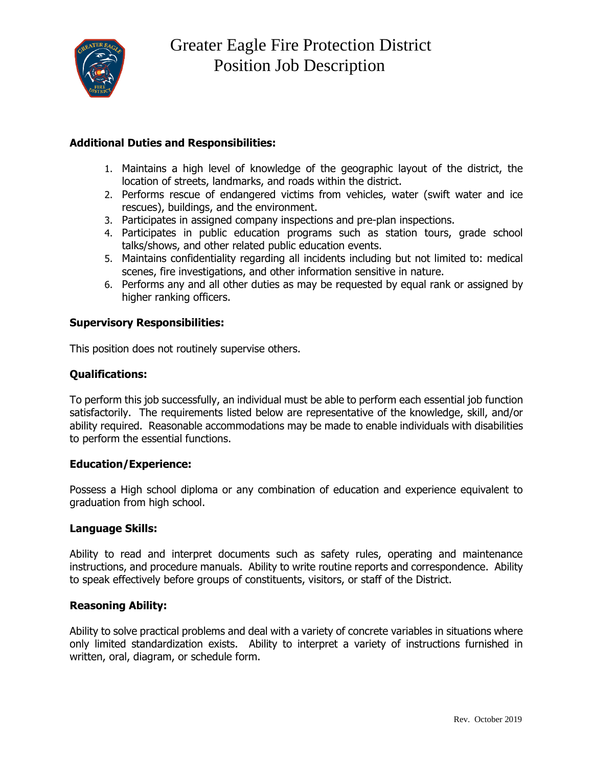

## **Additional Duties and Responsibilities:**

- 1. Maintains a high level of knowledge of the geographic layout of the district, the location of streets, landmarks, and roads within the district.
- 2. Performs rescue of endangered victims from vehicles, water (swift water and ice rescues), buildings, and the environment.
- 3. Participates in assigned company inspections and pre-plan inspections.
- 4. Participates in public education programs such as station tours, grade school talks/shows, and other related public education events.
- 5. Maintains confidentiality regarding all incidents including but not limited to: medical scenes, fire investigations, and other information sensitive in nature.
- 6. Performs any and all other duties as may be requested by equal rank or assigned by higher ranking officers.

### **Supervisory Responsibilities:**

This position does not routinely supervise others.

### **Qualifications:**

To perform this job successfully, an individual must be able to perform each essential job function satisfactorily. The requirements listed below are representative of the knowledge, skill, and/or ability required. Reasonable accommodations may be made to enable individuals with disabilities to perform the essential functions.

#### **Education/Experience:**

Possess a High school diploma or any combination of education and experience equivalent to graduation from high school.

#### **Language Skills:**

Ability to read and interpret documents such as safety rules, operating and maintenance instructions, and procedure manuals. Ability to write routine reports and correspondence. Ability to speak effectively before groups of constituents, visitors, or staff of the District.

#### **Reasoning Ability:**

Ability to solve practical problems and deal with a variety of concrete variables in situations where only limited standardization exists. Ability to interpret a variety of instructions furnished in written, oral, diagram, or schedule form.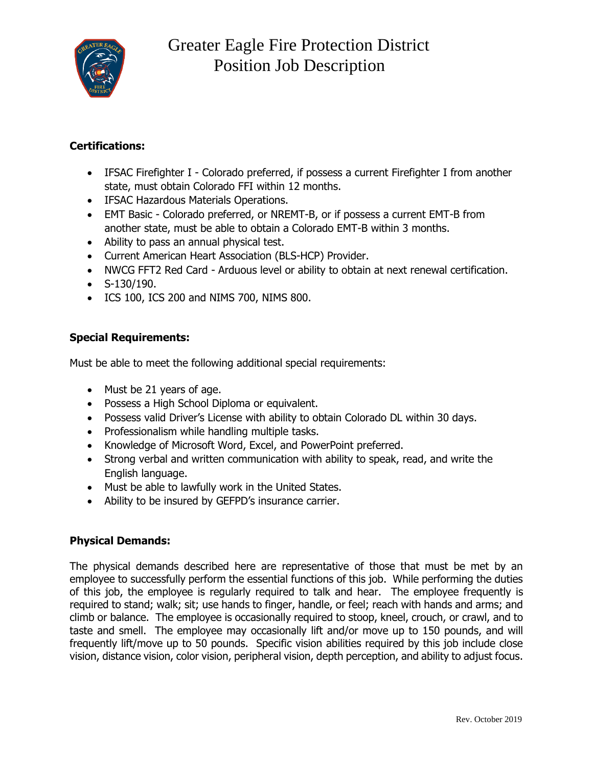

## **Certifications:**

- IFSAC Firefighter I Colorado preferred, if possess a current Firefighter I from another state, must obtain Colorado FFI within 12 months.
- IFSAC Hazardous Materials Operations.
- EMT Basic Colorado preferred, or NREMT-B, or if possess a current EMT-B from another state, must be able to obtain a Colorado EMT-B within 3 months.
- Ability to pass an annual physical test.
- Current American Heart Association (BLS-HCP) Provider.
- NWCG FFT2 Red Card Arduous level or ability to obtain at next renewal certification.
- $\bullet$  S-130/190.
- ICS 100, ICS 200 and NIMS 700, NIMS 800.

## **Special Requirements:**

Must be able to meet the following additional special requirements:

- Must be 21 years of age.
- Possess a High School Diploma or equivalent.
- Possess valid Driver's License with ability to obtain Colorado DL within 30 days.
- Professionalism while handling multiple tasks.
- Knowledge of Microsoft Word, Excel, and PowerPoint preferred.
- Strong verbal and written communication with ability to speak, read, and write the English language.
- Must be able to lawfully work in the United States.
- Ability to be insured by GEFPD's insurance carrier.

## **Physical Demands:**

The physical demands described here are representative of those that must be met by an employee to successfully perform the essential functions of this job. While performing the duties of this job, the employee is regularly required to talk and hear. The employee frequently is required to stand; walk; sit; use hands to finger, handle, or feel; reach with hands and arms; and climb or balance. The employee is occasionally required to stoop, kneel, crouch, or crawl, and to taste and smell. The employee may occasionally lift and/or move up to 150 pounds, and will frequently lift/move up to 50 pounds. Specific vision abilities required by this job include close vision, distance vision, color vision, peripheral vision, depth perception, and ability to adjust focus.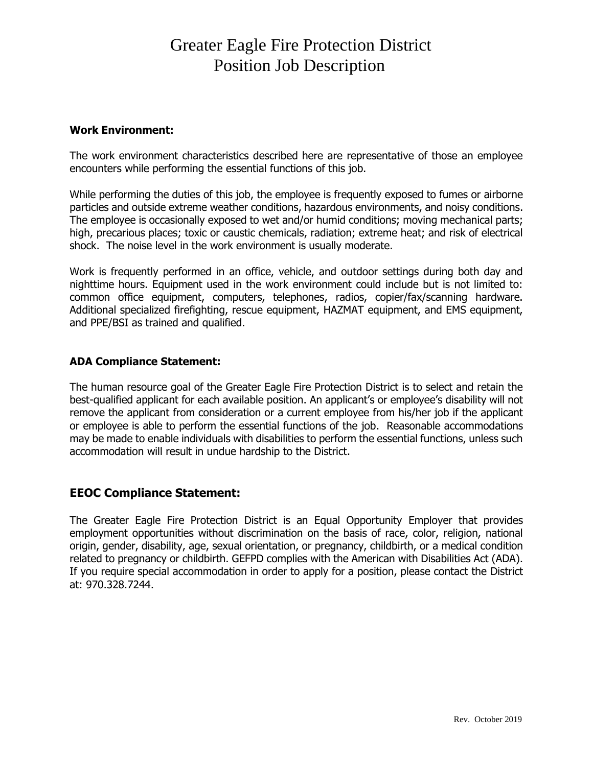# Greater Eagle Fire Protection District Position Job Description

#### **Work Environment:**

The work environment characteristics described here are representative of those an employee encounters while performing the essential functions of this job.

While performing the duties of this job, the employee is frequently exposed to fumes or airborne particles and outside extreme weather conditions, hazardous environments, and noisy conditions. The employee is occasionally exposed to wet and/or humid conditions; moving mechanical parts; high, precarious places; toxic or caustic chemicals, radiation; extreme heat; and risk of electrical shock. The noise level in the work environment is usually moderate.

Work is frequently performed in an office, vehicle, and outdoor settings during both day and nighttime hours. Equipment used in the work environment could include but is not limited to: common office equipment, computers, telephones, radios, copier/fax/scanning hardware. Additional specialized firefighting, rescue equipment, HAZMAT equipment, and EMS equipment, and PPE/BSI as trained and qualified.

#### **ADA Compliance Statement:**

The human resource goal of the Greater Eagle Fire Protection District is to select and retain the best-qualified applicant for each available position. An applicant's or employee's disability will not remove the applicant from consideration or a current employee from his/her job if the applicant or employee is able to perform the essential functions of the job. Reasonable accommodations may be made to enable individuals with disabilities to perform the essential functions, unless such accommodation will result in undue hardship to the District.

## **EEOC Compliance Statement:**

The Greater Eagle Fire Protection District is an Equal Opportunity Employer that provides employment opportunities without discrimination on the basis of race, color, religion, national origin, gender, disability, age, sexual orientation, or pregnancy, childbirth, or a medical condition related to pregnancy or childbirth. GEFPD complies with the American with Disabilities Act (ADA). If you require special accommodation in order to apply for a position, please contact the District at: 970.328.7244.